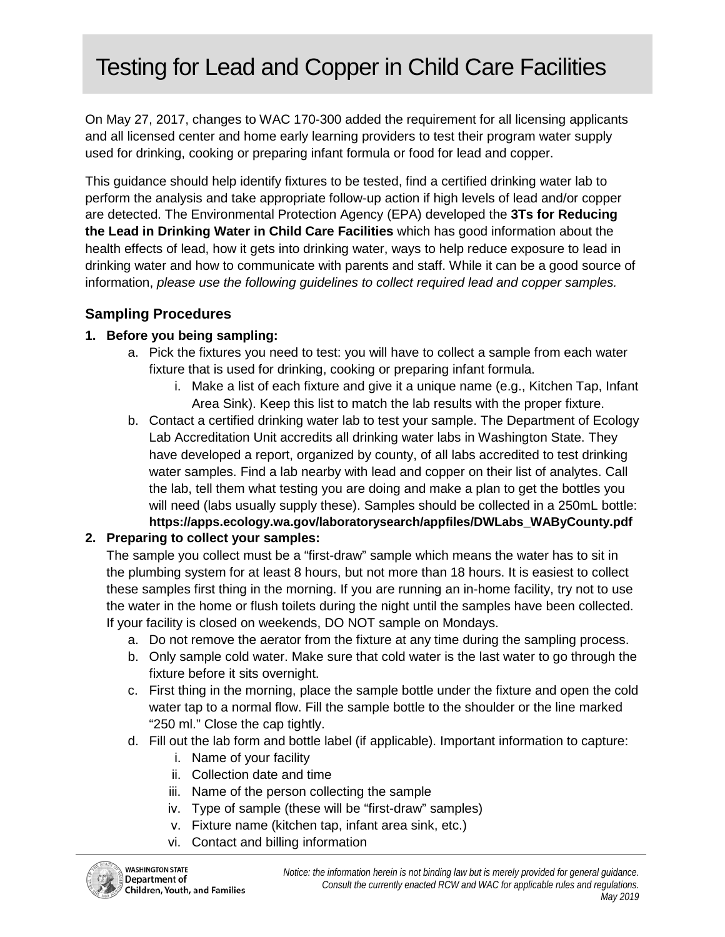# Testing for Lead and Copper in Child Care Facilities

On May 27, 2017, changes to WAC 170-300 added the requirement for all licensing applicants and all licensed center and home early learning providers to test their program water supply used for drinking, cooking or preparing infant formula or food for lead and copper.

This guidance should help identify fixtures to be tested, find a certified drinking water lab to perform the analysis and take appropriate follow-up action if high levels of lead and/or copper are detected. The Environmental Protection Agency (EPA) developed the **[3Ts for Reducing](https://www.epa.gov/dwreginfo/3ts-reducing-lead-drinking-water-schools-and-child-care-facilities)  [the Lead in Drinking Water in Child](https://www.epa.gov/dwreginfo/3ts-reducing-lead-drinking-water-schools-and-child-care-facilities) Care Facilities** which has good information about the health effects of lead, how it gets into drinking water, ways to help reduce exposure to lead in drinking water and how to communicate with parents and staff. While it can be a good source of information, *please use the following guidelines to collect required lead and copper samples.*

#### **Sampling Procedures**

#### **1. Before you being sampling:**

- a. Pick the fixtures you need to test: you will have to collect a sample from each water fixture that is used for drinking, cooking or preparing infant formula.
	- i. Make a list of each fixture and give it a unique name (e.g., Kitchen Tap, Infant Area Sink). Keep this list to match the lab results with the proper fixture.
- b. Contact a certified drinking water lab to test your sample. The Department of Ecology Lab Accreditation Unit accredits all drinking water labs in Washington State. They have developed a report, organized by county, of all labs accredited to test drinking water samples. Find a lab nearby with lead and copper on their list of analytes. Call the lab, tell them what testing you are doing and make a plan to get the bottles you will need (labs usually supply these). Samples should be collected in a 250mL bottle: **https://apps.ecology.wa.gov/laboratorysearch/appfiles/DWLabs\_WAByCounty.pdf**

### **2. Preparing to collect your samples:**

The sample you collect must be a "first-draw" sample which means the water has to sit in the plumbing system for at least 8 hours, but not more than 18 hours. It is easiest to collect these samples first thing in the morning. If you are running an in-home facility, try not to use the water in the home or flush toilets during the night until the samples have been collected. If your facility is closed on weekends, DO NOT sample on Mondays.

- a. Do not remove the aerator from the fixture at any time during the sampling process.
- b. Only sample cold water. Make sure that cold water is the last water to go through the fixture before it sits overnight.
- c. First thing in the morning, place the sample bottle under the fixture and open the cold water tap to a normal flow. Fill the sample bottle to the shoulder or the line marked "250 ml." Close the cap tightly.
- d. Fill out the lab form and bottle label (if applicable). Important information to capture:
	- i. Name of your facility
	- ii. Collection date and time
	- iii. Name of the person collecting the sample
	- iv. Type of sample (these will be "first-draw" samples)
	- v. Fixture name (kitchen tap, infant area sink, etc.)
	- vi. Contact and billing information